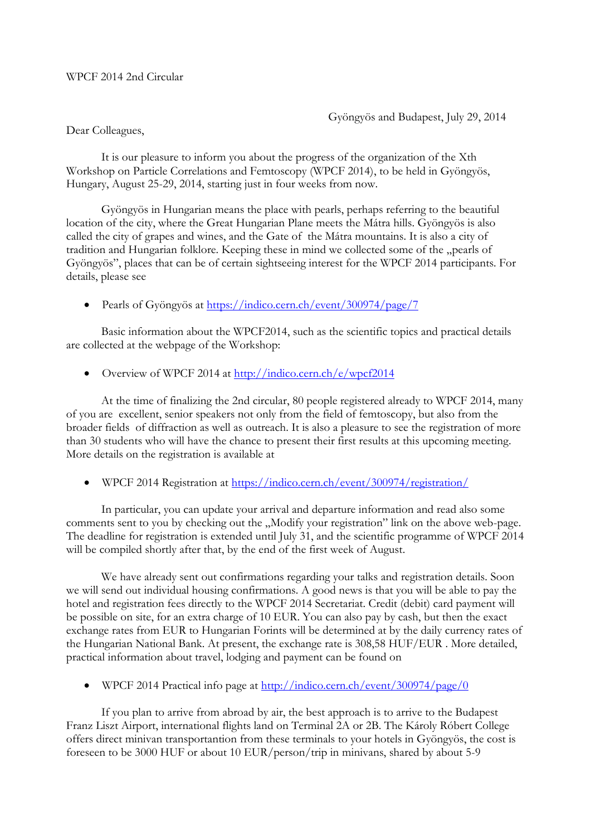## WPCF 2014 2nd Circular

Gyöngyös and Budapest, July 29, 2014

## Dear Colleagues,

It is our pleasure to inform you about the progress of the organization of the Xth Workshop on Particle Correlations and Femtoscopy (WPCF 2014), to be held in Gyöngyös, Hungary, August 25-29, 2014, starting just in four weeks from now.

Gyöngyös in Hungarian means the place with pearls, perhaps referring to the beautiful location of the city, where the Great Hungarian Plane meets the Mátra hills. Gyöngyös is also called the city of grapes and wines, and the Gate of the Mátra mountains. It is also a city of tradition and Hungarian folklore. Keeping these in mind we collected some of the "pearls of Gyöngyös", places that can be of certain sightseeing interest for the WPCF 2014 participants. For details, please see

Pearls of Gyöngyös at <https://indico.cern.ch/event/300974/page/7>

Basic information about the WPCF2014, such as the scientific topics and practical details are collected at the webpage of the Workshop:

Overview of WPCF 2014 at <http://indico.cern.ch/e/wpcf2014>

At the time of finalizing the 2nd circular, 80 people registered already to WPCF 2014, many of you are excellent, senior speakers not only from the field of femtoscopy, but also from the broader fields of diffraction as well as outreach. It is also a pleasure to see the registration of more than 30 students who will have the chance to present their first results at this upcoming meeting. More details on the registration is available at

WPCF 2014 Registration at<https://indico.cern.ch/event/300974/registration/>

In particular, you can update your arrival and departure information and read also some comments sent to you by checking out the "Modify your registration" link on the above web-page. The deadline for registration is extended until July 31, and the scientific programme of WPCF 2014 will be compiled shortly after that, by the end of the first week of August.

We have already sent out confirmations regarding your talks and registration details. Soon we will send out individual housing confirmations. A good news is that you will be able to pay the hotel and registration fees directly to the WPCF 2014 Secretariat. Credit (debit) card payment will be possible on site, for an extra charge of 10 EUR. You can also pay by cash, but then the exact exchange rates from EUR to Hungarian Forints will be determined at by the daily currency rates of the Hungarian National Bank. At present, the exchange rate is 308,58 HUF/EUR . More detailed, practical information about travel, lodging and payment can be found on

WPCF 2014 Practical info page at<http://indico.cern.ch/event/300974/page/0>

If you plan to arrive from abroad by air, the best approach is to arrive to the Budapest Franz Liszt Airport, international flights land on Terminal 2A or 2B. The Károly Róbert College offers direct minivan transportantion from these terminals to your hotels in Gyöngyös, the cost is foreseen to be 3000 HUF or about 10 EUR/person/trip in minivans, shared by about 5-9